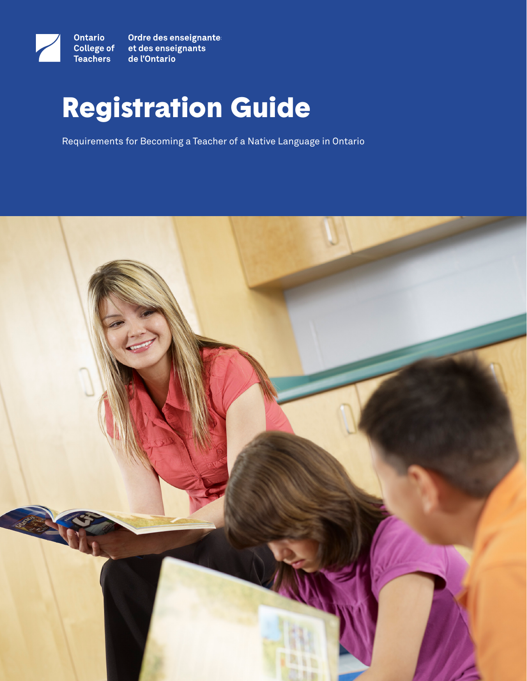

Ordre des enseignantes<br>et des enseignants de l'Ontario

# Registration Guide

Requirements for Becoming a Teacher of a Native Language in Ontario

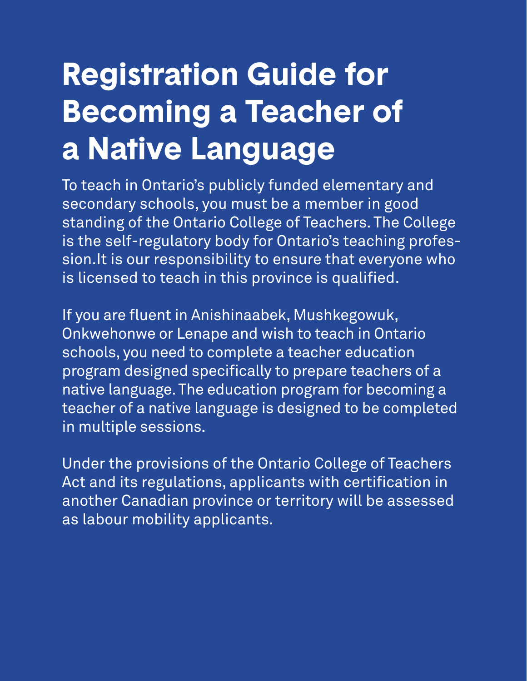# **Registration Guide for Becoming a Teacher of a Native Language**

To teach in Ontario's publicly funded elementary and secondary schools, you must be a member in good standing of the Ontario College of Teachers. The College is the self-regulatory body for Ontario's teaching profession.It is our responsibility to ensure that everyone who is licensed to teach in this province is qualified.

If you are fluent in Anishinaabek, Mushkegowuk, Onkwehonwe or Lenape and wish to teach in Ontario schools, you need to complete a teacher education program designed specifically to prepare teachers of a native language. The education program for becoming a teacher of a native language is designed to be completed in multiple sessions.

Under the provisions of the Ontario College of Teachers Act and its regulations, applicants with certification in another Canadian province or territory will be assessed as labour mobility applicants.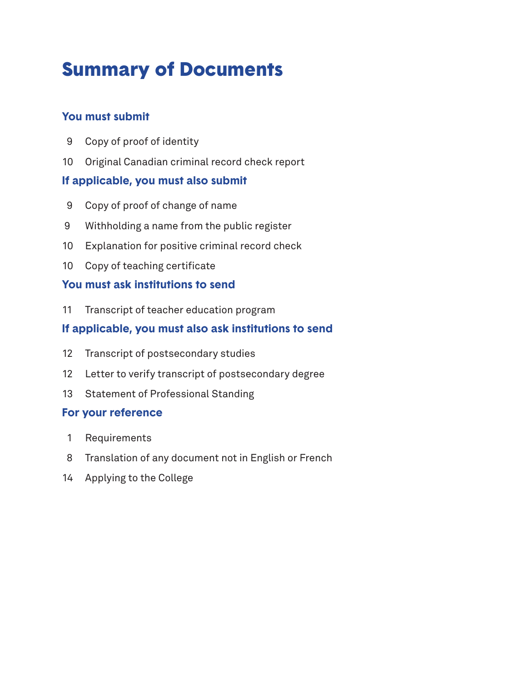# Summary of Documents

# **You must submit**

- Copy of proof of identity
- Original Canadian criminal record check report

# **If applicable, you must also submit**

- Copy of proof of change of name
- Withholding a name from the public register
- Explanation for positive criminal record check
- Copy of teaching certificate

# **You must ask institutions to send**

Transcript of teacher education program

# **If applicable, you must also ask institutions to send**

- Transcript of postsecondary studies
- Letter to verify transcript of postsecondary degree
- Statement of Professional Standing

# **For your reference**

- Requirements
- Translation of any document not in English or French
- Applying to the College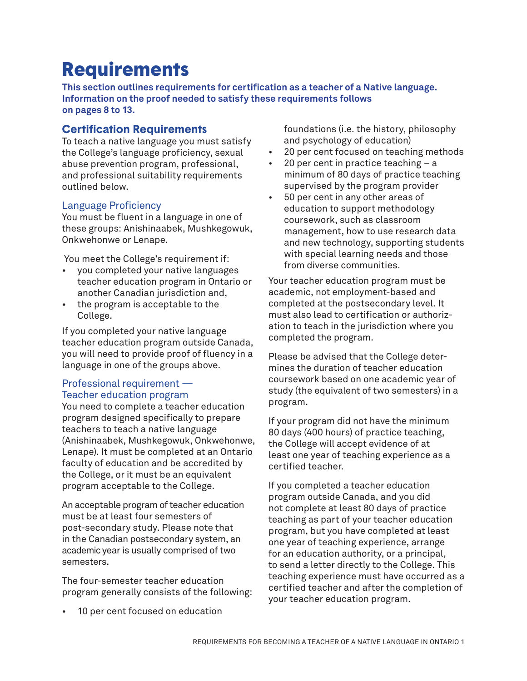# **Requirements**

**This section outlines requirements for certification as a teacher of a Native language. Information on the proof needed to satisfy these requirements follows on pages 8 to 13.**

## **Certification Requirements**

To teach a native language you must satisfy the College's language proficiency, sexual abuse prevention program, professional, and professional suitability requirements outlined below.

#### Language Proficiency

You must be fluent in a language in one of these groups: Anishinaabek, Mushkegowuk, Onkwehonwe or Lenape.

You meet the College's requirement if:

- you completed your native languages teacher education program in Ontario or another Canadian jurisdiction and,
- the program is acceptable to the College.

If you completed your native language teacher education program outside Canada, you will need to provide proof of fluency in a language in one of the groups above.

#### Professional requirement — Teacher education program

You need to complete a teacher education program designed specifically to prepare teachers to teach a native language (Anishinaabek, Mushkegowuk, Onkwehonwe, Lenape). It must be completed at an Ontario faculty of education and be accredited by the College, or it must be an equivalent program acceptable to the College.

An acceptable program of teacher education must be at least four semesters of post-secondary study. Please note that in the Canadian postsecondary system, an academic year is usually comprised of two semesters.

The four-semester teacher education program generally consists of the following:

10 per cent focused on education

foundations (i.e. the history, philosophy and psychology of education)

- 20 per cent focused on teaching methods
- 20 per cent in practice teaching  $-$  a minimum of 80 days of practice teaching supervised by the program provider
- 50 per cent in any other areas of education to support methodology coursework, such as classroom management, how to use research data and new technology, supporting students with special learning needs and those from diverse communities.

Your teacher education program must be academic, not employment-based and completed at the postsecondary level. It must also lead to certification or authorization to teach in the jurisdiction where you completed the program.

Please be advised that the College determines the duration of teacher education coursework based on one academic year of study (the equivalent of two semesters) in a program.

If your program did not have the minimum 80 days (400 hours) of practice teaching, the College will accept evidence of at least one year of teaching experience as a certified teacher.

If you completed a teacher education program outside Canada, and you did not complete at least 80 days of practice teaching as part of your teacher education program, but you have completed at least one year of teaching experience, arrange for an education authority, or a principal, to send a letter directly to the College. This teaching experience must have occurred as a certified teacher and after the completion of your teacher education program.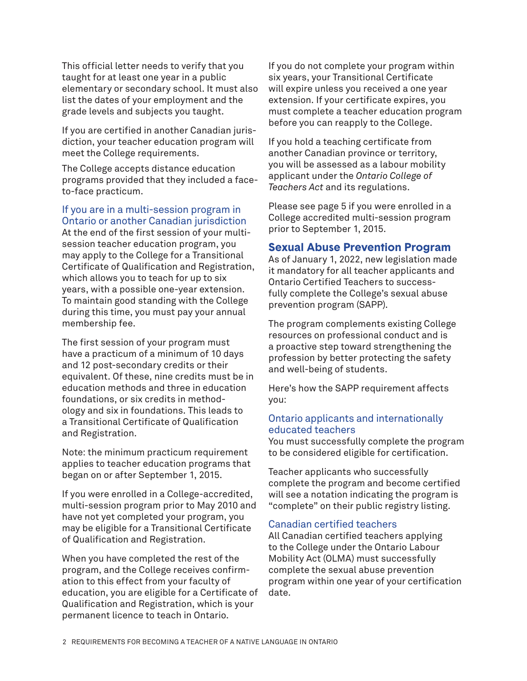This official letter needs to verify that you taught for at least one year in a public elementary or secondary school. It must also list the dates of your employment and the grade levels and subjects you taught.

If you are certified in another Canadian jurisdiction, your teacher education program will meet the College requirements.

The College accepts distance education programs provided that they included a faceto-face practicum.

If you are in a multi-session program in Ontario or another Canadian jurisdiction

At the end of the first session of your multisession teacher education program, you may apply to the College for a Transitional Certificate of Qualification and Registration, which allows you to teach for up to six years, with a possible one-year extension. To maintain good standing with the College during this time, you must pay your annual membership fee.

The first session of your program must have a practicum of a minimum of 10 days and 12 post-secondary credits or their equivalent. Of these, nine credits must be in education methods and three in education foundations, or six credits in methodology and six in foundations. This leads to a Transitional Certificate of Qualification and Registration.

Note: the minimum practicum requirement applies to teacher education programs that began on or after September 1, 2015.

If you were enrolled in a College-accredited, multi-session program prior to May 2010 and have not yet completed your program, you may be eligible for a Transitional Certificate of Qualification and Registration.

When you have completed the rest of the program, and the College receives confirmation to this effect from your faculty of education, you are eligible for a Certificate of Qualification and Registration, which is your permanent licence to teach in Ontario.

If you do not complete your program within six years, your Transitional Certificate will expire unless you received a one year extension. If your certificate expires, you must complete a teacher education program before you can reapply to the College.

If you hold a teaching certificate from another Canadian province or territory, you will be assessed as a labour mobility applicant under the *Ontario College of Teachers Act* and its regulations.

Please see page 5 if you were enrolled in a College accredited multi-session program prior to September 1, 2015.

## **Sexual Abuse Prevention Program**

As of January 1, 2022, new legislation made it mandatory for all teacher applicants and Ontario Certified Teachers to successfully complete the College's sexual abuse prevention program (SAPP).

The program complements existing College resources on professional conduct and is a proactive step toward strengthening the profession by better protecting the safety and well-being of students.

Here's how the SAPP requirement affects you:

#### Ontario applicants and internationally educated teachers

You must successfully complete the program to be considered eligible for certification.

Teacher applicants who successfully complete the program and become certified will see a notation indicating the program is "complete" on their public registry listing.

#### Canadian certified teachers

All Canadian certified teachers applying to the College under the Ontario Labour Mobility Act (OLMA) must successfully complete the sexual abuse prevention program within one year of your certification date.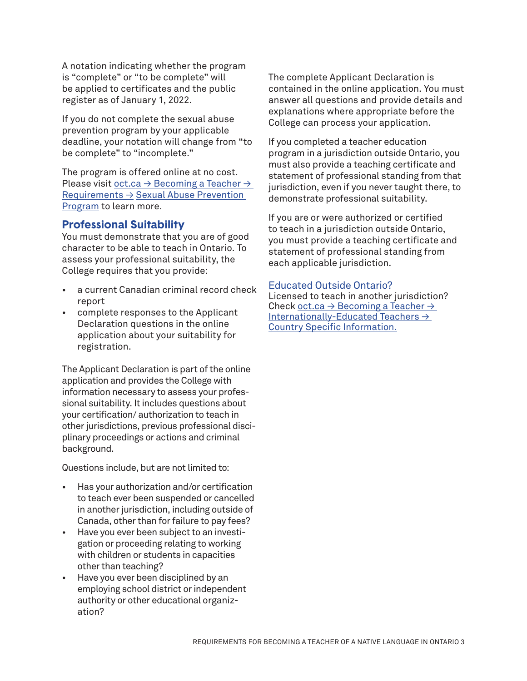A notation indicating whether the program is "complete" or "to be complete" will be applied to certificates and the public register as of January 1, 2022.

If you do not complete the sexual abuse prevention program by your applicable deadline, your notation will change from "to be complete" to "incomplete."

The program is offered online at no cost. Please visit oct.ca  $\rightarrow$  Becoming a Teacher  $\rightarrow$ [Requirements →](https://www.oct.ca/becoming-a-teacher/requirements/sexual-abuse-prevention-program/question-and-answers) Sexual Abuse Prevention Program to learn more.

#### **Professional Suitability**

You must demonstrate that you are of good character to be able to teach in Ontario. To assess your professional suitability, the College requires that you provide:

- a current Canadian criminal record check report
- complete responses to the Applicant Declaration questions in the online application about your suitability for registration.

The Applicant Declaration is part of the online application and provides the College with information necessary to assess your professional suitability. It includes questions about your certification/ authorization to teach in other jurisdictions, previous professional disciplinary proceedings or actions and criminal background.

Questions include, but are not limited to:

- Has your authorization and/or certification to teach ever been suspended or cancelled in another jurisdiction, including outside of Canada, other than for failure to pay fees?
- Have you ever been subject to an investigation or proceeding relating to working with children or students in capacities other than teaching?
- Have you ever been disciplined by an employing school district or independent authority or other educational organization?

The complete Applicant Declaration is contained in the online application. You must answer all questions and provide details and explanations where appropriate before the College can process your application.

If you completed a teacher education program in a jurisdiction outside Ontario, you must also provide a teaching certificate and statement of professional standing from that jurisdiction, even if you never taught there, to demonstrate professional suitability.

If you are or were authorized or certified to teach in a jurisdiction outside Ontario, you must provide a teaching certificate and statement of professional standing from each applicable jurisdiction.

#### Educated Outside Ontario?

Licensed to teach in another jurisdiction? Check oct.ca  $\rightarrow$  Becoming a Teacher  $\rightarrow$ [Internationally-Educated Teachers →](http://www.oct.ca/becoming-a-teacher/internationally-educated-teachers/country-info?sc_lang=en&)  [Country Specific Info](http://www.oct.ca/becoming-a-teacher/internationally-educated-teachers/country-info?sc_lang=en&)rmation.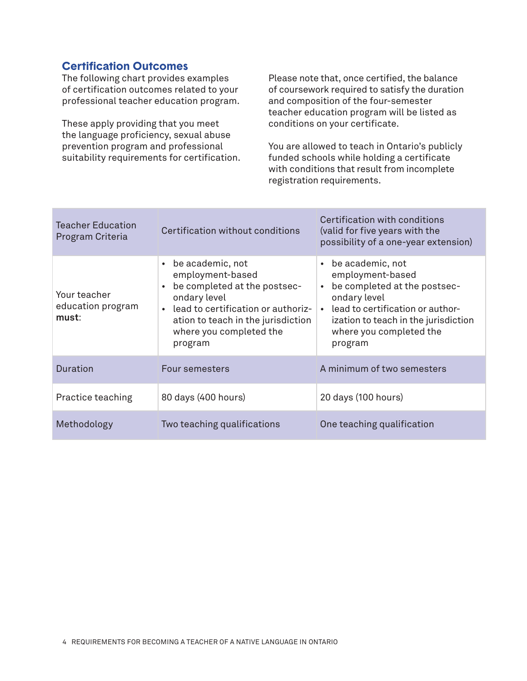# **Certification Outcomes**

The following chart provides examples of certification outcomes related to your professional teacher education program.

These apply providing that you meet the language proficiency, sexual abuse prevention program and professional suitability requirements for certification. Please note that, once certified, the balance of coursework required to satisfy the duration and composition of the four-semester teacher education program will be listed as conditions on your certificate.

You are allowed to teach in Ontario's publicly funded schools while holding a certificate with conditions that result from incomplete registration requirements.

| Teacher Education<br>Program Criteria      | Certification without conditions                                                                                                                                                                                                 | Certification with conditions<br>(valid for five years with the<br>possibility of a one-year extension)                                                                                                                                       |
|--------------------------------------------|----------------------------------------------------------------------------------------------------------------------------------------------------------------------------------------------------------------------------------|-----------------------------------------------------------------------------------------------------------------------------------------------------------------------------------------------------------------------------------------------|
| Your teacher<br>education program<br>must: | be academic, not<br>$\bullet$<br>employment-based<br>be completed at the postsec-<br>ondary level<br>lead to certification or authoriz-<br>$\bullet$<br>ation to teach in the jurisdiction<br>where you completed the<br>program | be academic, not<br>$\bullet$<br>employment-based<br>be completed at the postsec-<br>$\bullet$<br>ondary level<br>lead to certification or author-<br>$\bullet$<br>ization to teach in the jurisdiction<br>where you completed the<br>program |
| <b>Duration</b>                            | Four semesters                                                                                                                                                                                                                   | A minimum of two semesters                                                                                                                                                                                                                    |
| Practice teaching                          | 80 days (400 hours)                                                                                                                                                                                                              | 20 days (100 hours)                                                                                                                                                                                                                           |
| Methodology                                | Two teaching qualifications                                                                                                                                                                                                      | One teaching qualification                                                                                                                                                                                                                    |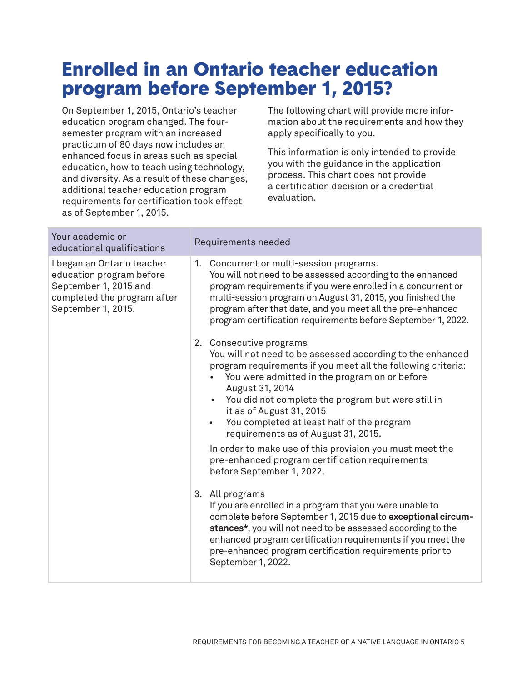# Enrolled in an Ontario teacher education program before September 1, 2015?

On September 1, 2015, Ontario's teacher education program changed. The foursemester program with an increased practicum of 80 days now includes an enhanced focus in areas such as special education, how to teach using technology, and diversity. As a result of these changes, additional teacher education program requirements for certification took effect as of September 1, 2015.

The following chart will provide more information about the requirements and how they apply specifically to you.

This information is only intended to provide you with the guidance in the application process. This chart does not provide a certification decision or a credential evaluation.

| Your academic or<br>educational qualifications                                                                                       | Requirements needed                                                                                                                                                                                                                                                                                                                                                                                                                                                                                                                                                    |
|--------------------------------------------------------------------------------------------------------------------------------------|------------------------------------------------------------------------------------------------------------------------------------------------------------------------------------------------------------------------------------------------------------------------------------------------------------------------------------------------------------------------------------------------------------------------------------------------------------------------------------------------------------------------------------------------------------------------|
| I began an Ontario teacher<br>education program before<br>September 1, 2015 and<br>completed the program after<br>September 1, 2015. | 1. Concurrent or multi-session programs.<br>You will not need to be assessed according to the enhanced<br>program requirements if you were enrolled in a concurrent or<br>multi-session program on August 31, 2015, you finished the<br>program after that date, and you meet all the pre-enhanced<br>program certification requirements before September 1, 2022.                                                                                                                                                                                                     |
|                                                                                                                                      | 2. Consecutive programs<br>You will not need to be assessed according to the enhanced<br>program requirements if you meet all the following criteria:<br>You were admitted in the program on or before<br>August 31, 2014<br>You did not complete the program but were still in<br>$\bullet$<br>it as of August 31, 2015<br>You completed at least half of the program<br>$\bullet$<br>requirements as of August 31, 2015.<br>In order to make use of this provision you must meet the<br>pre-enhanced program certification requirements<br>before September 1, 2022. |
|                                                                                                                                      | 3. All programs<br>If you are enrolled in a program that you were unable to<br>complete before September 1, 2015 due to exceptional circum-<br>stances*, you will not need to be assessed according to the<br>enhanced program certification requirements if you meet the<br>pre-enhanced program certification requirements prior to<br>September 1, 2022.                                                                                                                                                                                                            |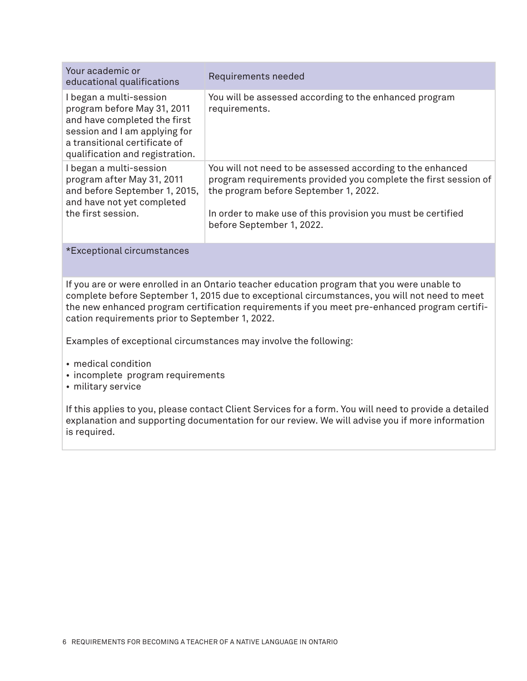| Your academic or<br>educational qualifications                                                                                                                                              | Requirements needed                                                                                                                                                                                                                                                 |
|---------------------------------------------------------------------------------------------------------------------------------------------------------------------------------------------|---------------------------------------------------------------------------------------------------------------------------------------------------------------------------------------------------------------------------------------------------------------------|
| I began a multi-session<br>program before May 31, 2011<br>and have completed the first<br>session and I am applying for<br>a transitional certificate of<br>qualification and registration. | You will be assessed according to the enhanced program<br>requirements.                                                                                                                                                                                             |
| I began a multi-session<br>program after May 31, 2011<br>and before September 1, 2015,<br>and have not yet completed<br>the first session.                                                  | You will not need to be assessed according to the enhanced<br>program requirements provided you complete the first session of<br>the program before September 1, 2022.<br>In order to make use of this provision you must be certified<br>before September 1, 2022. |

#### \*Exceptional circumstances

If you are or were enrolled in an Ontario teacher education program that you were unable to complete before September 1, 2015 due to exceptional circumstances, you will not need to meet the new enhanced program certification requirements if you meet pre-enhanced program certification requirements prior to September 1, 2022.

Examples of exceptional circumstances may involve the following:

- medical condition
- incomplete program requirements
- military service

If this applies to you, please contact Client Services for a form. You will need to provide a detailed explanation and supporting documentation for our review. We will advise you if more information is required.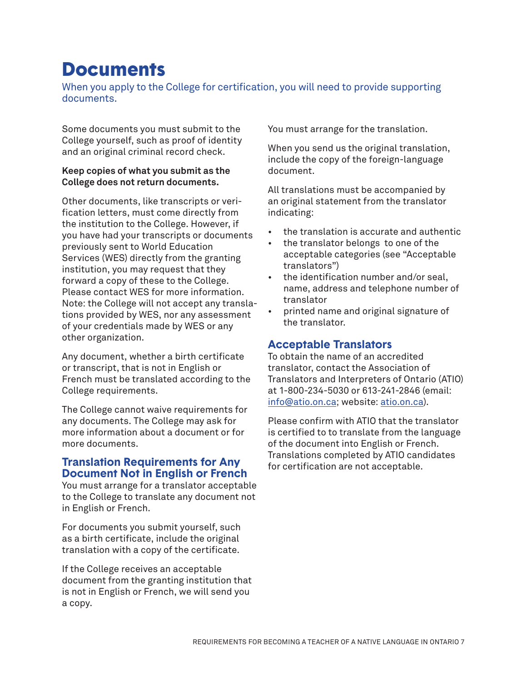# **Documents**

When you apply to the College for certification, you will need to provide supporting documents.

Some documents you must submit to the College yourself, such as proof of identity and an original criminal record check.

#### **Keep copies of what you submit as the College does not return documents.**

Other documents, like transcripts or verification letters, must come directly from the institution to the College. However, if you have had your transcripts or documents previously sent to World Education Services (WES) directly from the granting institution, you may request that they forward a copy of these to the College. Please contact WES for more information. Note: the College will not accept any translations provided by WES, nor any assessment of your credentials made by WES or any other organization.

Any document, whether a birth certificate or transcript, that is not in English or French must be translated according to the College requirements.

The College cannot waive requirements for any documents. The College may ask for more information about a document or for more documents.

## **Translation Requirements for Any Document Not in English or French**

You must arrange for a translator acceptable to the College to translate any document not in English or French.

For documents you submit yourself, such as a birth certificate, include the original translation with a copy of the certificate.

If the College receives an acceptable document from the granting institution that is not in English or French, we will send you a copy.

You must arrange for the translation.

When you send us the original translation, include the copy of the foreign-language document.

All translations must be accompanied by an original statement from the translator indicating:

- the translation is accurate and authentic
- the translator belongs to one of the acceptable categories (see "Acceptable translators")
- the identification number and/or seal, name, address and telephone number of translator
- printed name and original signature of the translator.

# **Acceptable Translators**

To obtain the name of an accredited translator, contact the Association of Translators and Interpreters of Ontario (ATIO) at 1-800-234-5030 or 613-241-2846 (email: [info@atio.on.ca;](mailto:info%40atio.on.ca?subject=) website: [atio.on.ca](www.atio.on.ca)).

Please confirm with ATIO that the translator is certified to to translate from the language of the document into English or French. Translations completed by ATIO candidates for certification are not acceptable.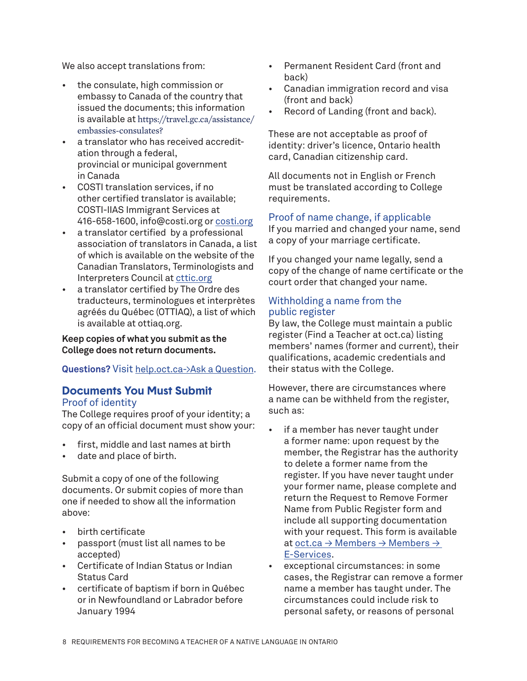We also accept translations from:

- the consulate, high commission or embassy to Canada of the country that issued the documents; this information is available at [https://travel.gc.ca/assistance/](https://travel.gc.ca/assistance/embassies-consulates?_ga=2.112474561.435779379.1522168108-478890399.1522168108) [embassies-consulates?](https://travel.gc.ca/assistance/embassies-consulates?_ga=2.112474561.435779379.1522168108-478890399.1522168108)
- a translator who has received accreditation through a federal, provincial or municipal government in Canada
- COSTI translation services, if no other certified translator is available; COSTI-IIAS Immigrant Services at 416-658-1600, info@costi.org or costi.org
- a translator certified by a professional association of translators in Canada, a list of which is available on the website of the Canadian Translators, Terminologists and Interpreters Council at [cttic.org](www.cttic.org)
- a translator certified by The Ordre des traducteurs, terminologues et interprètes agréés du Québec (OTTIAQ), a list of which is available at [ottiaq.org.](http://www.ottiaq.org.)

**Keep copies of what you submit as the College does not return documents.**

#### **Questions?** Visit [help.oct.ca->Ask a Question.](https://help.oct.ca/hc/en-us/requests/new)

#### **Documents You Must Submit** Proof of identity

The College requires proof of your identity; a copy of an official document must show your:

- first, middle and last names at birth
- date and place of birth.

Submit a copy of one of the following documents. Or submit copies of more than one if needed to show all the information above:

- birth certificate
- passport (must list all names to be accepted)
- Certificate of Indian Status or Indian Status Card
- certificate of baptism if born in Québec or in Newfoundland or Labrador before January 1994
- Permanent Resident Card (front and back)
- Canadian immigration record and visa (front and back)
- Record of Landing (front and back).

These are not acceptable as proof of identity: driver's licence, Ontario health card, Canadian citizenship card.

All documents not in English or French must be translated according to College requirements.

#### Proof of name change, if applicable

If you married and changed your name, send a copy of your marriage certificate.

If you changed your name legally, send a copy of the change of name certificate or the court order that changed your name.

#### Withholding a name from the public register

By law, the College must maintain a public register (Find a Teacher at [oct.ca\)](http://www.oct.ca) listing members' names (former and current), their qualifications, academic credentials and their status with the College.

However, there are circumstances where a name can be withheld from the register, such as:

- if a member has never taught under a former name: upon request by the member, the Registrar has the authority to delete a former name from the register. If you have never taught under your former name, please complete and return the Request to Remove Former Name from Public Register form and include all supporting documentation with your request. This form is available at oct.ca  $\rightarrow$  Members  $\rightarrow$  Members  $\rightarrow$ E-Services[.](https://www.oct.ca/eservices/home/RRFN.aspx)
- exceptional circumstances: in some cases, the Registrar can remove a former name a member has taught under. The circumstances could include risk to personal safety, or reasons of personal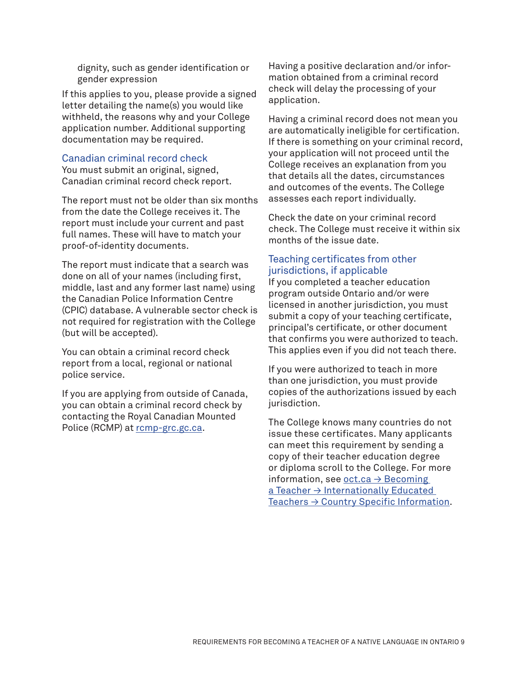dignity, such as gender identification or gender expression

If this applies to you, please provide a signed letter detailing the name(s) you would like withheld, the reasons why and your College application number. Additional supporting documentation may be required.

#### Canadian criminal record check

You must submit an original, signed, Canadian criminal record check report.

The report must not be older than six months from the date the College receives it. The report must include your current and past full names. These will have to match your proof-of-identity documents.

The report must indicate that a search was done on all of your names (including first, middle, last and any former last name) using the Canadian Police Information Centre (CPIC) database. A vulnerable sector check is not required for registration with the College (but will be accepted).

You can obtain a criminal record check report from a local, regional or national police service.

If you are applying from outside of Canada, you can obtain a criminal record check by contacting the Royal Canadian Mounted Police (RCMP) at [rcmp-grc.gc.ca](http://www.rcmp-grc.gc.ca).

Having a positive declaration and/or information obtained from a criminal record check will delay the processing of your application.

Having a criminal record does not mean you are automatically ineligible for certification. If there is something on your criminal record, your application will not proceed until the College receives an explanation from you that details all the dates, circumstances and outcomes of the events. The College assesses each report individually.

Check the date on your criminal record check. The College must receive it within six months of the issue date.

## Teaching certificates from other jurisdictions, if applicable

If you completed a teacher education program outside Ontario and/or were licensed in another jurisdiction, you must submit a copy of your teaching certificate, principal's certificate, or other document that confirms you were authorized to teach. This applies even if you did not teach there.

If you were authorized to teach in more than one jurisdiction, you must provide copies of the authorizations issued by each jurisdiction.

The College knows many countries do not issue these certificates. Many applicants can meet this requirement by sending a copy of their teacher education degree or diploma scroll to the College. For more information, see oct.ca  $\rightarrow$  Becoming [a Teacher → Internationally Educated](http://www.oct.ca/becoming-a-teacher/internationally-educated-teachers/country-info)  Teachers  $\rightarrow$  Country Specific Information.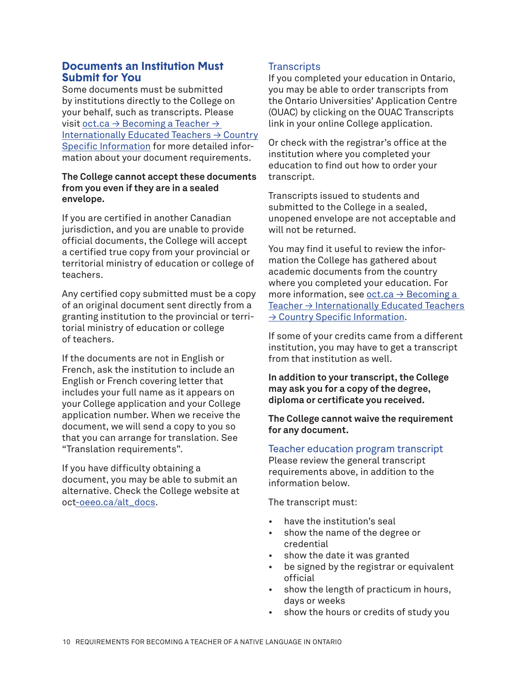## **Documents an Institution Must Submit for You**

Some documents must be submitted by institutions directly to the College on your behalf, such as transcripts. Please visit oct.ca  $\rightarrow$  Becoming a Teacher  $\rightarrow$ [Internationally Educated Teachers → Country](http://www.oct.ca/becoming-a-teacher/internationally-educated-teachers/country-info) [Specific Infor](http://www.oct.ca/becoming-a-teacher/internationally-educated-teachers/country-info)mation for more detailed information about your document requirements.

#### **The College cannot accept these documents from you even if they are in a sealed envelope.**

If you are certified in another Canadian jurisdiction, and you are unable to provide official documents, the College will accept a certified true copy from your provincial or territorial ministry of education or college of teachers.

Any certified copy submitted must be a copy of an original document sent directly from a granting institution to the provincial or territorial ministry of education or college of teachers.

If the documents are not in English or French, ask the institution to include an English or French covering letter that includes your full name as it appears on your College application and your College application number. When we receive the document, we will send a copy to you so that you can arrange for translation. See "Translation requirements".

If you have difficulty obtaining a document, you may be able to submit an alternative. Check the College website at [oct-](https://www.oct-oeeo.ca/alt_docs)oeeo.ca/alt\_docs.

## **Transcripts**

If you completed your education in Ontario, you may be able to order transcripts from the Ontario Universities' Application Centre (OUAC) by clicking on the OUAC Transcripts link in your online College application.

Or check with the registrar's office at the institution where you completed your education to find out how to order your transcript.

Transcripts issued to students and submitted to the College in a sealed, unopened envelope are not acceptable and will not be returned.

You may find it useful to review the information the College has gathered about academic documents from the country where you completed your education. For more information, see oct.ca  $\rightarrow$  Becoming a [Teacher → Internat](http://www.oct.ca/becoming-a-teacher/internationally-educated-teachers/country-info)ionally Educated Teachers → Country Specific Information.

If some of your credits came from a different institution, you may have to get a transcript from that institution as well.

**In addition to your transcript, the College may ask you for a copy of the degree, diploma or certificate you received.** 

**The College cannot waive the requirement for any document.**

Teacher education program transcript Please review the general transcript requirements above, in addition to the information below.

The transcript must:

- have the institution's seal
- show the name of the degree or credential
- show the date it was granted
- be signed by the registrar or equivalent official
- show the length of practicum in hours, days or weeks
- show the hours or credits of study you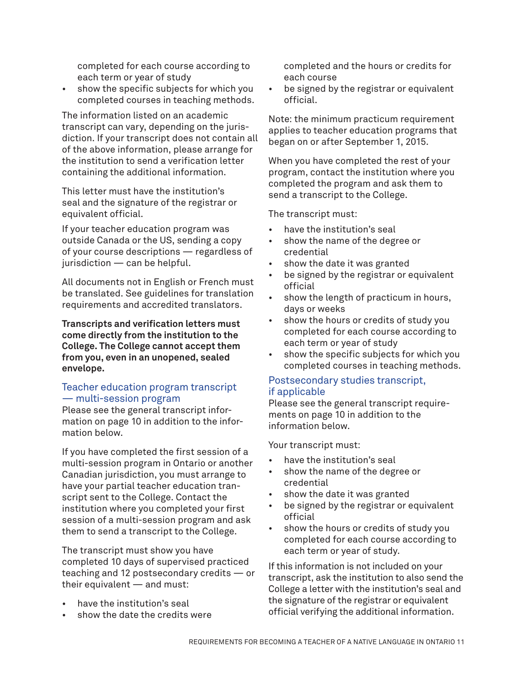completed for each course according to each term or year of study

show the specific subjects for which you completed courses in teaching methods.

The information listed on an academic transcript can vary, depending on the jurisdiction. If your transcript does not contain all of the above information, please arrange for the institution to send a verification letter containing the additional information.

This letter must have the institution's seal and the signature of the registrar or equivalent official.

If your teacher education program was outside Canada or the US, sending a copy of your course descriptions — regardless of jurisdiction — can be helpful.

All documents not in English or French must be translated. See guidelines for translation requirements and accredited translators.

**Transcripts and verification letters must come directly from the institution to the College. The College cannot accept them from you, even in an unopened, sealed envelope.** 

#### Teacher education program transcript — multi-session program

Please see the general transcript information on page 10 in addition to the information below.

If you have completed the first session of a multi-session program in Ontario or another Canadian jurisdiction, you must arrange to have your partial teacher education transcript sent to the College. Contact the institution where you completed your first session of a multi-session program and ask them to send a transcript to the College.

The transcript must show you have completed 10 days of supervised practiced teaching and 12 postsecondary credits — or their equivalent — and must:

- have the institution's seal
- show the date the credits were

completed and the hours or credits for each course

be signed by the registrar or equivalent official.

Note: the minimum practicum requirement applies to teacher education programs that began on or after September 1, 2015.

When you have completed the rest of your program, contact the institution where you completed the program and ask them to send a transcript to the College.

The transcript must:

- have the institution's seal
- show the name of the degree or credential
- show the date it was granted
- be signed by the registrar or equivalent official
- show the length of practicum in hours, days or weeks
- show the hours or credits of study you completed for each course according to each term or year of study
- show the specific subjects for which you completed courses in teaching methods.

#### Postsecondary studies transcript, if applicable

Please see the general transcript requirements on page 10 in addition to the information below.

Your transcript must:

- have the institution's seal
- show the name of the degree or credential
- show the date it was granted
- be signed by the registrar or equivalent official
- show the hours or credits of study you completed for each course according to each term or year of study.

If this information is not included on your transcript, ask the institution to also send the College a letter with the institution's seal and the signature of the registrar or equivalent official verifying the additional information.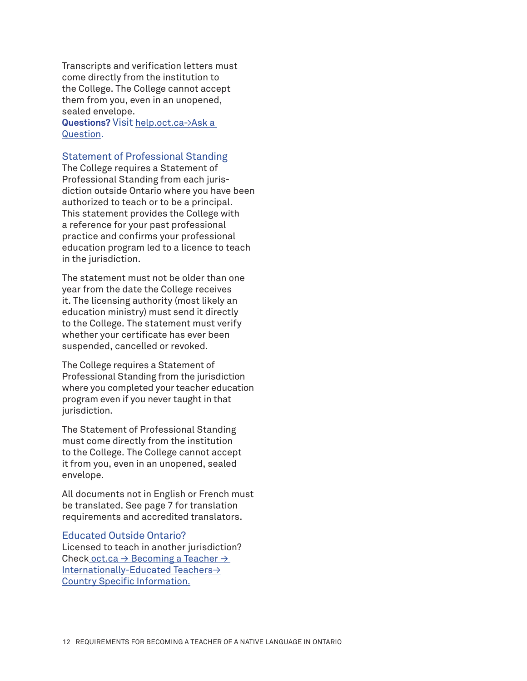Transcripts and verification letters must come directly from the institution to the College. The College cannot accept them from you, even in an unopened, sealed envelope. **Questions?** Visit [help.oct.ca->Ask a](https://help.oct.ca/hc/en-us/requests/new) 

[Question](https://help.oct.ca/hc/en-us/requests/new).

#### Statement of Professional Standing

The College requires a Statement of Professional Standing from each jurisdiction outside Ontario where you have been authorized to teach or to be a principal. This statement provides the College with a reference for your past professional practice and confirms your professional education program led to a licence to teach in the jurisdiction.

The statement must not be older than one year from the date the College receives it. The licensing authority (most likely an education ministry) must send it directly to the College. The statement must verify whether your certificate has ever been suspended, cancelled or revoked.

The College requires a Statement of Professional Standing from the jurisdiction where you completed your teacher education program even if you never taught in that jurisdiction.

The Statement of Professional Standing must come directly from the institution to the College. The College cannot accept it from you, even in an unopened, sealed envelope.

All documents not in English or French must be translated. See page 7 for translation requirements and accredited translators.

#### Educated Outside Ontario?

Licensed to teach in another jurisdiction? Check oct.ca  $\rightarrow$  Becoming a Teacher  $\rightarrow$ [Internationally-Educated Teachers→](http://www.oct.ca/becoming-a-teacher/internationally-educated-teachers/country-info?sc_lang=en&) [Country Specific Info](http://www.oct.ca/becoming-a-teacher/internationally-educated-teachers/country-info?sc_lang=en&)rmation.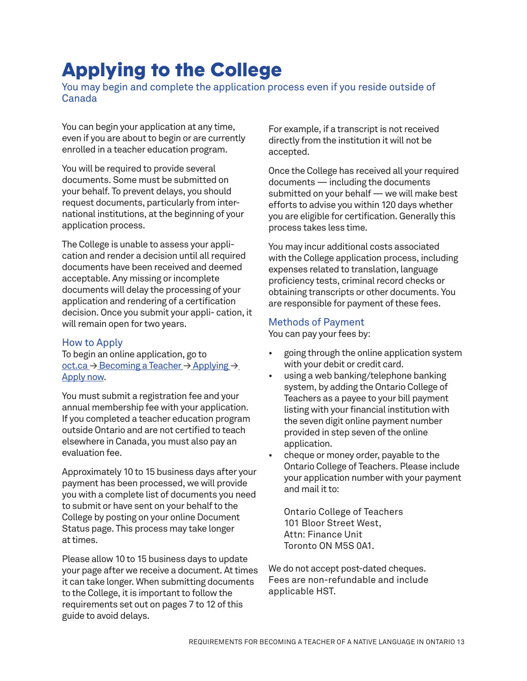# Applying to the College

You may begin and complete the application process even if you reside outside of Canada

You can begin your application at any time, even if you are about to begin or are currently enrolled in a teacher education program.

You will be required to provide several documents. Some must be submitted on your behalf. To prevent delays, you should request documents, particularly from international institutions, at the beginning of your application process.

The College is unable to assess your application and render a decision until all required documents have been received and deemed acceptable. Any missing or incomplete documents will delay the processing of your application and rendering of a certification decision. Once you submit your appli- cation, it will remain open for two years.

#### How to Apply

To begin an online application, go to oct.ca → [Becoming a Teacher →](https://apps.oct.ca/OLR/Template.aspx?action=rege) Applying → [Apply now.](https://apps.oct.ca/OLR/Template.aspx?action=rege)

You must submit a registration fee and your annual membership fee with your application. If you completed a teacher education program outside Ontario and are not certified to teach elsewhere in Canada, you must also pay an evaluation fee.

Approximately 10 to 15 business days after your payment has been processed, we will provide you with a complete list of documents you need to submit or have sent on your behalf to the College by posting on your online Document Status page. This process may take longer at times.

Please allow 10 to 15 business days to update your page after we receive a document. At times it can take longer. When submitting documents to the College, it is important to follow the requirements set out on pages 7 to 12 of this guide to avoid delays.

For example, if a transcript is not received directly from the institution it will not be accepted.

Once the College has received all your required documents — including the documents submitted on your behalf — we will make best efforts to advise you within 120 days whether you are eligible for certification. Generally this process takes less time.

You may incur additional costs associated with the College application process, including expenses related to translation, language proficiency tests, criminal record checks or obtaining transcripts or other documents. You are responsible for payment of these fees.

#### Methods of Payment

You can pay your fees by:

- going through the online application system with your debit or credit card.
- using a web banking/telephone banking system, by adding the Ontario College of Teachers as a payee to your bill payment listing with your financial institution with the seven digit online payment number provided in step seven of the online application.
- cheque or money order, payable to the Ontario College of Teachers. Please include your application number with your payment and mail it to:

Ontario College of Teachers 101 Bloor Street West, Attn: Finance Unit Toronto ON M5S 0A1.

We do not accept post-dated cheques. Fees are non-refundable and include applicable HST.